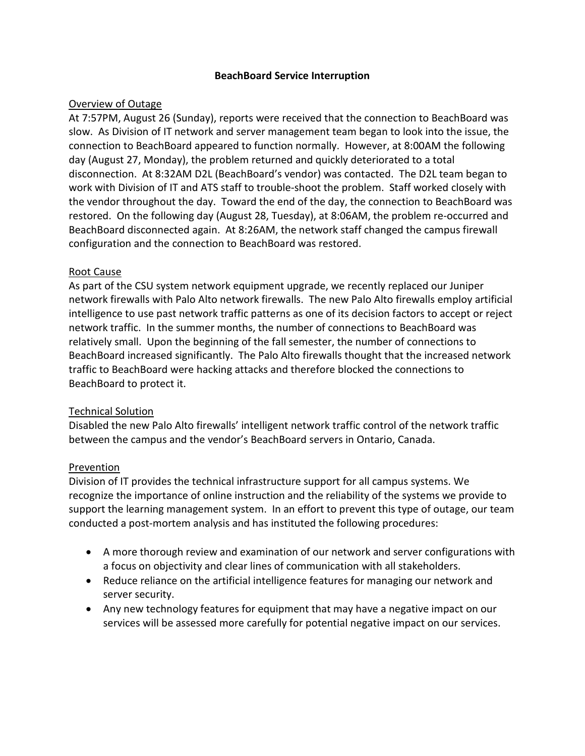### **BeachBoard Service Interruption**

### Overview of Outage

At 7:57PM, August 26 (Sunday), reports were received that the connection to BeachBoard was slow. As Division of IT network and server management team began to look into the issue, the connection to BeachBoard appeared to function normally. However, at 8:00AM the following day (August 27, Monday), the problem returned and quickly deteriorated to a total disconnection. At 8:32AM D2L (BeachBoard's vendor) was contacted. The D2L team began to work with Division of IT and ATS staff to trouble-shoot the problem. Staff worked closely with the vendor throughout the day. Toward the end of the day, the connection to BeachBoard was restored. On the following day (August 28, Tuesday), at 8:06AM, the problem re-occurred and BeachBoard disconnected again. At 8:26AM, the network staff changed the campus firewall configuration and the connection to BeachBoard was restored.

### Root Cause

As part of the CSU system network equipment upgrade, we recently replaced our Juniper network firewalls with Palo Alto network firewalls. The new Palo Alto firewalls employ artificial intelligence to use past network traffic patterns as one of its decision factors to accept or reject network traffic. In the summer months, the number of connections to BeachBoard was relatively small. Upon the beginning of the fall semester, the number of connections to BeachBoard increased significantly. The Palo Alto firewalls thought that the increased network traffic to BeachBoard were hacking attacks and therefore blocked the connections to BeachBoard to protect it.

### Technical Solution

Disabled the new Palo Alto firewalls' intelligent network traffic control of the network traffic between the campus and the vendor's BeachBoard servers in Ontario, Canada.

### **Prevention**

Division of IT provides the technical infrastructure support for all campus systems. We recognize the importance of online instruction and the reliability of the systems we provide to support the learning management system. In an effort to prevent this type of outage, our team conducted a post-mortem analysis and has instituted the following procedures:

- A more thorough review and examination of our network and server configurations with a focus on objectivity and clear lines of communication with all stakeholders.
- Reduce reliance on the artificial intelligence features for managing our network and server security.
- Any new technology features for equipment that may have a negative impact on our services will be assessed more carefully for potential negative impact on our services.